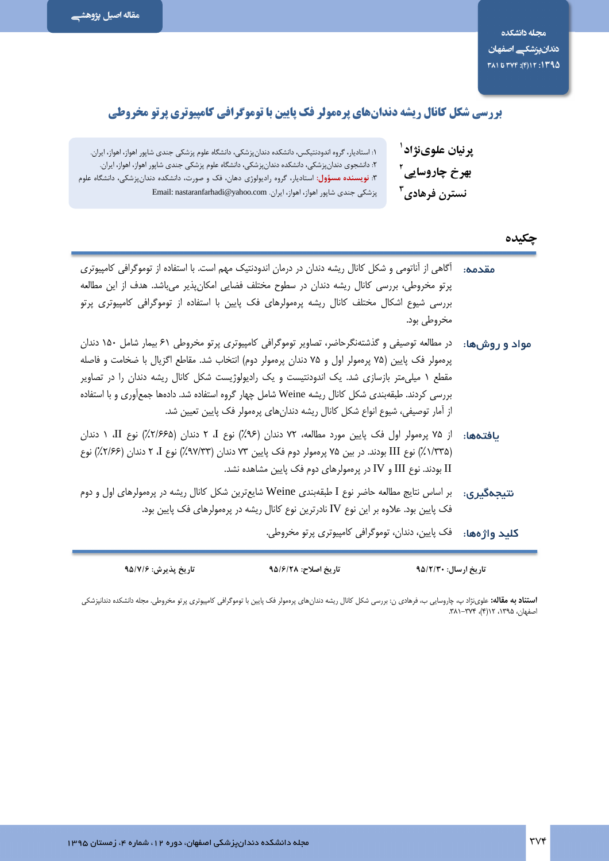وم

# بررسی شکل کانال ریشه دندانهای پرهمولر فک پایین با توموگرافی کامپیوتری پرتو مخروطی

| ١: استاديار، گروه اندودنتيكس، دانشكده دندان پزشكي، دانشگاه علوم پزشكي جندي شاپور اهواز، اهواز، ايران.                                                                                                       | پرنيان علوىنژاد <sup>ا</sup> |
|-------------------------------------------------------------------------------------------------------------------------------------------------------------------------------------------------------------|------------------------------|
| ۲: دانشجوی دندان پزشکی، دانشکده دندان پزشکی، دانشگاه علوم پزشکی جندی شاپور اهواز، اهواز، ایران.<br>۳: <mark>نویسنده مسؤول</mark> : استادیار، گروه رادیولوژی دهان، فک و صورت، دانشکده دندانپزشکی، دانشگاه عل | بهرخ چاروسایی <sup>۲</sup>   |
| پزشکی جندی شاپور اهواز، اهواز، ایران. Email: nastaranfarhadi@yahoo.com                                                                                                                                      | ِ نسترن فرهادی <sup>۳</sup>  |

#### چکیده

تاریخ ارسال: ۹۵/۲/۳۰

| آگاهی از آناتومی و شکل کانال ریشه دندان در درمان اندودنتیک مهم است. با استفاده از توموگرافی کامپیوتری<br>پرتو مخروطی، بررسی کانال ریشه دندان در سطوح مختلف فضایی امکانپذیر میباشد. هدف از این مطالعه<br>بررسی شیوع اشکال مختلف کانال ریشه پرهمولرهای فک پایین با استفاده از توموگرافی کامپیوتری پرتو<br>مخروطی بود.                                                                                                                                                                                            | مقدمه:       |
|----------------------------------------------------------------------------------------------------------------------------------------------------------------------------------------------------------------------------------------------------------------------------------------------------------------------------------------------------------------------------------------------------------------------------------------------------------------------------------------------------------------|--------------|
| <b>مواد و روشها:</b> در مطالعه توصیفی و گذشتهنگرحاضر، تصاویر توموگرافی کامپیوتری پرتو مخروطی ۶۱ بیمار شامل ۱۵۰ دندان<br>پرهمولر فک پایین (۷۵ پرهمولر اول و ۷۵ دندان پرهمولر دوم) انتخاب شد. مقاطع اگزیال با ضخامت و فاصله<br>مقطع ۱ میلیمتر بازسازی شد. یک اندودنتیست و یک رادیولوژیست شکل کانال ریشه دندان را در تصاویر<br>بررسی کردند. طبقهبندی شکل کانال ریشه Weine شامل چهار گروه استفاده شد. دادهها جمعآوری و با استفاده<br>از آمار توصیفی، شیوع انواع شکل کانال ریشه دندانهای پرهمولر فک پایین تعیین شد. |              |
| <b>یافتدها:</b> از ۷۵ پرهمولر اول فک پایین مورد مطالعه، ۷۲ دندان (۹۶٪) نوع I، ۲ دندان (۲/۶۶۵٪) نوع II، ۱ دندان<br>(۱/۳۳۵٪) نوع III بودند. در بین ۷۵ پرهمولر دوم فک پایین ۷۳ دندان (۹۷/۳۳٪) نوع I، ۲ دندان (۲/۶۶٪) نوع<br>ا بودند. نوع III و $\rm{IV}$ در پرهمولرهای دوم فک پایین مشاهده نشد. $\rm{II}$                                                                                                                                                                                                         |              |
| بر اساس نتایج مطالعه حاضر نوع I طبقهبندی Weine شایعترین شکل کانال ریشه در پرهمولرهای اول و دوم<br>فک پایین بود. علاوه بر این نوع IV نادرترین نوع کانال ریشه در پرهمولرهای فک پایین بود.                                                                                                                                                                                                                                                                                                                        | نتيجەگىرى:   |
| فک پایین، دندان، توموگرافی کامپیوتری پرتو مخروطی.                                                                                                                                                                                                                                                                                                                                                                                                                                                              | کليد واژهها: |

**استناد به مقاله:** علوینژاد پ، چاروسایی ب، فرهادی ن: بررسی شکل کانال ریشه دندانهای پرمولر فک پایین با توموگرافی کامپیوتری پرتو مخروطی. مجله دانشکده دندانپزشکی<br>اصفهان، ۱۳۹۵، ۱۲(۴)، ۳۷۴–۳۸۱.

تاريخ اصلاح: ٩۵/۶/٢٨

تاريخ پذيرش: ۹۵/۷/۶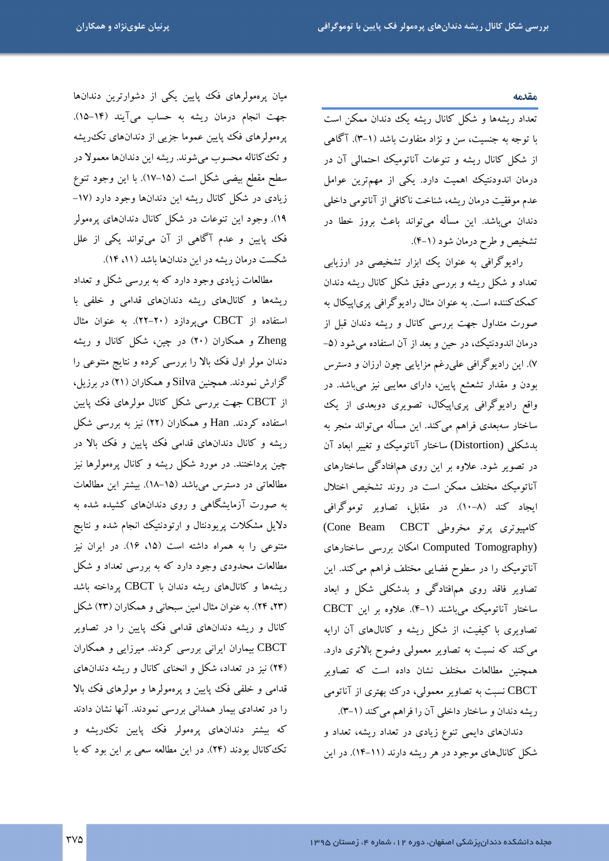#### مقدمه

تعداد ریشهها و شکل کانال ریشه یک دندان ممکن است با توجه به جنسیت، سن و نژاد متفاوت باشد (۱-۳). آگاهی از شکل کانال ریشه و تنوعات آناتومیک احتمالی آن در درمان اندودنتیک اهمیت دارد. یکی از مهمترین عوامل عدم موفقیت درمان ریشه، شناخت ناکافی از آناتومی داخلی دندان میباشد. این مسأله میتواند باعث بروز خطا در تشخيص و طرح درمان شود (١-۴).

رادیوگرافی به عنوان یک ابزار تشخیصی در ارزیابی تعداد و شکل ریشه و بررسی دقیق شکل کانال ریشه دندان کمک کننده است. به عنوان مثال رادیوگرافی پریاپیکال به صورت متداول جهت بررسی کانال و ریشه دندان قبل از درمان اندودنتیک، در حین و بعد از آن استفاده می شود (۵-۷). این رادیوگرافی علیرغم مزایایی چون ارزان و دسترس بودن و مقدار تشعشع پایین، دارای معایبی نیز میباشد. در واقع رادیوگرافی پری|پیکال، تصویری دوبعدی از یک ساختار سەبعدى فراهم مىكند. اين مسأله مىتواند منجر به بدشکلی (Distortion) ساختار آناتومیک و تغییر ابعاد آن در تصویر شود. علاوه بر این روی همافتادگی ساختارهای آناتومیک مختلف ممکن است در روند تشخیص اختلال ایجاد کند (۸–۱۰). در مقابل، تصاویر توموگرافی كامپيوترى پرتو مخروطى Cone Beam CBCT) Computed Tomography) امکان بررسی ساختارهای آناتومیک را در سطوح فضایی مختلف فراهم میکند. این تصاویر فاقد روی همافتادگی و بدشکلی شکل و ابعاد ساختار آناتوميك مي باشند (١-۴). علاوه بر اين CBCT تصاویری با کیفیت، از شکل ریشه و کانالهای آن ارایه می کند که نسبت به تصاویر معمولی وضوح بالاتری دارد. همچنین مطالعات مختلف نشان داده است که تصاویر CBCT نسبت به تصاویر معمولی، درک بهتری از آناتومی ريشه دندان و ساختار داخلي آن را فراهم مي كند (١-٣).

دندانهای دایمی تنوع زیادی در تعداد ریشه، تعداد و شکل کانالهای موجود در هر ریشه دارند (۱۱-۱۴). در این

میان پرهمولرهای فک پایین یکی از دشوارترین دندانها جهت انجام درمان ريشه به حساب ميآيند (١۴–١۵). پرهمولرهای فک پایین عموما جزیی از دندانهای تکءریشه و تک کاناله محسوب میشوند. ریشه این دندانها معمولا در سطح مقطع بیضی شکل است (۱۵–۱۷). با این وجود تنوع زیادی در شکل کانال ریشه این دندانها وجود دارد (۱۷-۱۹). وجود این تنوعات در شکل کانال دندانهای پرهمولر فک پایین و عدم آگاهی از آن میتواند یکی از علل شکست درمان ریشه در این دندانها باشد (۱۱، ۱۴).

مطالعات زیادی وجود دارد که به بررسی شکل و تعداد ریشهها و کانالهای ریشه دندانهای قدامی و خلفی با استفاده از CBCT میپردازد (۲۰-۲۲). به عنوان مثال Zheng و همکاران (۲۰) در چین، شکل کانال و ریشه دندان مولر اول فک بالا را بررسی کرده و نتایج متنوعی را گزارش نمودند. همچنین Silva و همکاران (۲۱) در برزیل، از CBCT جهت بررسی شکل کانال مولرهای فک پایین استفاده کردند. Han و همکاران (۲۲) نیز به بررسی شکل ریشه و کانال دندانهای قدامی فک پایین و فک بالا در چین پرداختند. در مورد شکل ریشه و کانال پرهمولرها نیز مطالعاتی در دسترس میباشد (۱۵–۱۸). بیشتر این مطالعات به صورت آزمایشگاهی و روی دندانهای کشیده شده به دلایل مشکلات پریودنتال و ارتودنتیک انجام شده و نتایج متنوعی را به همراه داشته است (۱۵، ۱۶). در ایران نیز مطالعات محدودی وجود دارد که به بررسی تعداد و شکل ریشهها و کانالهای ریشه دندان با CBCT برداخته باشد (۲۳، ۲۴). به عنوان مثال امین سبحانی و همکاران (۲۳) شکل کانال و ریشه دندانهای قدامی فک پایین را در تصاویر CBCT بیماران ایرانی بررسی کردند. میرزایی و همکاران (۲۴) نیز در تعداد، شکل و انحنای کانال و ریشه دندانهای قدامی و خلفی فک پایین و پرهمولرها و مولرهای فک بالا را در تعدادی بیمار همدانی بررسی نمودند. آنها نشان دادند که بیشتر دندانهای پرهمولر فک پایین تکءریشه و تک کانال بودند (۲۴). در این مطالعه سعی بر این بود که با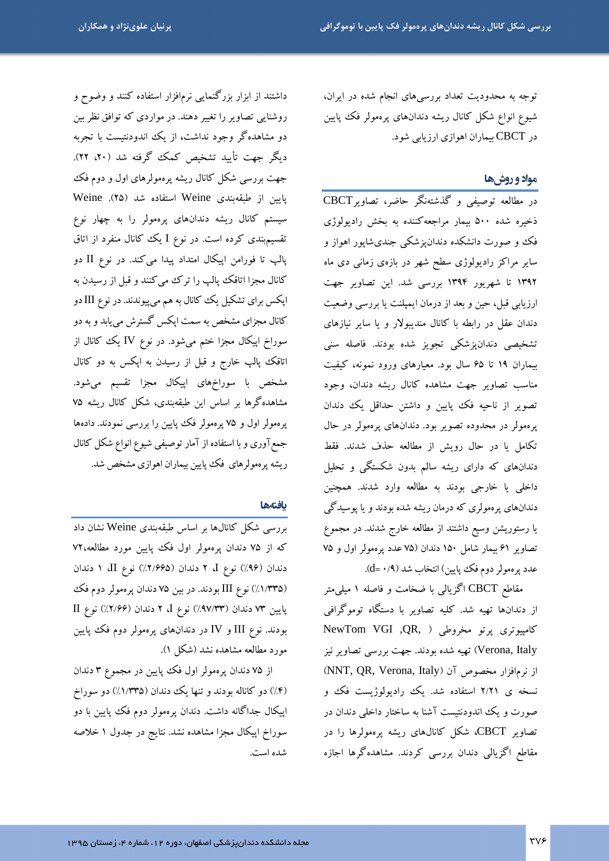توجه به محدودیت تعداد بررسیهای انجام شده در ایران، شیوع انواع شکل کانال ریشه دندانهای پرهمولر فک پایین در CBCT بیماران اهوازی ارزیابی شود.

#### مواد و روشها

در مطالعه توصیفی و گذشتهنگر حاضر، تصاویرCBCT ذخیره شده ۵۰۰ بیمار مراجعهکننده به بخش رادیولوژی فک و صورت دانشکده دندان یزشکی جندیشاپور اهواز و سایر مراکز رادیولوژی سطح شهر در بازهی زمانی دی ماه ۱۳۹۲ تا شهریور ۱۳۹۴ بررسی شد. این تصاویر جهت ارزیابی قبل، حین و بعد از درمان ایمپلنت یا بررسی وضعیت دندان عقل در رابطه با کانال مندیبولار و یا سایر نیازهای تشخیصی دندانپزشکی تجویز شده بودند. فاصله سنی بیماران ۱۹ تا ۶۵ سال بود. معیارهای ورود نمونه، کیفیت مناسب تصاویر جهت مشاهده کانال ریشه دندان، وجود تصویر از ناحیه فک پایین و داشتن حداقل یک دندان پرهمولر در محدوده تصویر بود. دندانهای پرهمولر در حال تکامل یا در حال رویش از مطالعه حذف شدند. فقط دندانهای که دارای ریشه سالم بدون شکستگی و تحلیل داخلی یا خارجی بودند به مطالعه وارد شدند. همچنین دندانهای پرهمولری که درمان ریشه شده بودند و یا پوسیدگی یا رستوریشن وسیع داشتند از مطالعه خارج شدند. در مجموع تصاویر ۶۱ بیمار شامل ۱۵۰ دندان (۷۵ عدد پرهمولر اول و ۷۵ عدد پرهمولر دوم فک پایین) انتخاب شد (۰/۹).

مقاطع CBCT اگزیالی با ضخامت و فاصله ۱ میل<sub>ی</sub>متر از دندانها تهیه شد. کلیه تصاویر با دستگاه توموگرافی كامپيوترى پرتو مخروطى ( ,QR, )NewTom VGI Verona, Italy) تھیه شده بودند. جهت بررسی تصاویر نیز از نرمافزار مخصوص آن (NNT, QR, Verona, Italy) نسخه ی ۲/۲۱ استفاده شد. یک رادیولوژیست فک و صورت و یک اندودنتیست آشنا به ساختار داخلی دندان در تصاویر CBCT، شکل کانالهای ریشه پرهمولرها را در مقاطع اگزیالی دندان بررسی کردند. مشاهدهگرها اجازه

داشتند از ابزار بزرگنمایی نرمافزار استفاده کنند و وضوح و روشنایی تصاویر را تغییر دهند. در مواردی که توافق نظر بین دو مشاهدهگر وجود نداشت، از یک اندودنتیست با تجربه ديگر جهت تأييد تشخيص كمك گرفته شد (٢٠، ٢٢). جهت بررسی شکل کانال ریشه پرهمولرهای اول و دوم فک پایین از طبقهبندی Weine استفاده شد (۲۵). Weine سیستم کانال ریشه دندانهای پرهمولر را به چهار نوع تقسیم بندی کرده است. در نوع I یک کانال منفرد از اتاق پالپ تا فورامن اپیکال امتداد پیدا میکند. در نوع II دو کانال مجزا اتاقک پالپ را ترک میکنند و قبل از رسیدن به اپکس برای تشکیل یک کانال به هم میپیوندند. در نوع III دو کانال مجزای مشخص به سمت اپکس گسترش می یابد و به دو سوراخ اپیکال مجزا ختم میشود. در نوع IV یک کانال از اتاقک پالپ خارج و قبل از رسیدن به اپکس به دو کانال مشخص با سوراخهای اپیکال مجزا تقسیم میشود. مشاهدهگرها بر اساس این طبقهبندی، شکل کانال ریشه ۷۵ پرهمولر اول و ۷۵ پرهمولر فک پپایین را بررسی نمودند. دادهها جمع آوری و با استفاده از آمار توصیفی شیوع انواع شکل کانال ریشه پرهمولرهای فک پایین بیماران اهوازی مشخص شد.

#### بافتهها

بررسی شکل کانالها بر اساس طبقهبندی Weine نشان داد که از ۷۵ دندان پرهمولر اول فک پایین مورد مطالعه،۷۲ دندان (٩۶٪) نوع J، ٢ دندان (٢/٩۶۵٪) نوع II، ١ دندان (۱/۳۳۵٪) نوع III بودند. در بین ۷۵ دندان پرهمولر دوم فک پایین ۷۳ دندان (۹۷/۳۳٪) نوع I، ۲ دندان (۱۲/۶۶٪) نوع II بودند. نوع III و IV در دندانهای پرهمولر دوم فک پایین مورد مطالعه مشاهده نشد (شکل ۱).

از ۷۵ دندان پرهمولر اول فک پایین در مجموع ۳ دندان (۴٪) دو کاناله بودند و تنها یک دندان (۱/۳۳۵٪) دو سوراخ اپیکال جداگانه داشت. دندان پرهمولر دوم فک پایین با دو سوراخ اپیکال مجزا مشاهده نشد. نتایج در جدول ۱ خلاصه شده است.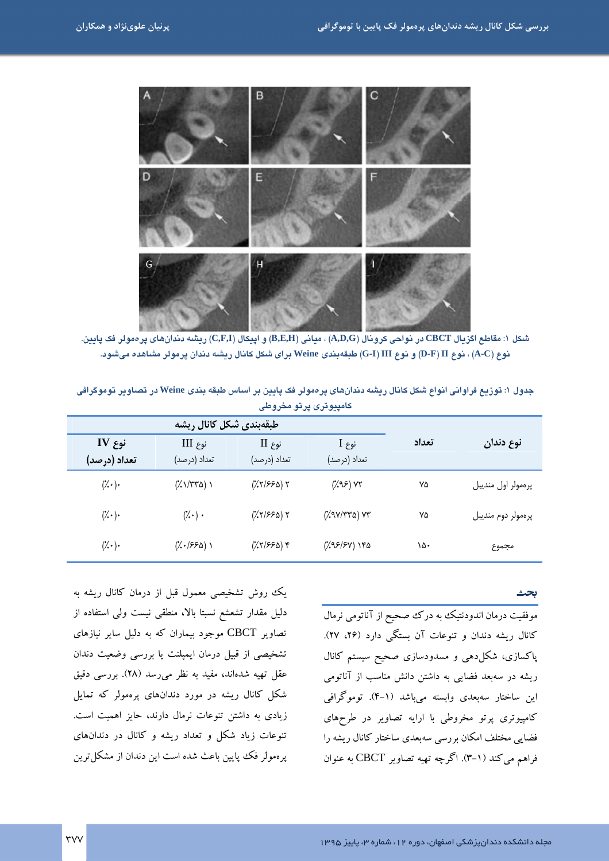

شكل ١: مقاطع اگزيال CBCT در نواحي كرونال (A,D,G) ، مياني (B,E,H) و اييكال (C,F,I) ريشه دندانهاي يرەمولر فك يايين. نوع (A-C) ، نوع D-F) II) و نوع G-I) III) طبقهبندی Weine برای شکل کانال ریشه دندان پرمولر مشاهده میشود.

| كامپيوترى پرتو مخروطى   |                                   |                                           |                         |       |                    |  |
|-------------------------|-----------------------------------|-------------------------------------------|-------------------------|-------|--------------------|--|
| طبقهبندي شكل كانال ريشه |                                   |                                           |                         |       |                    |  |
| نوع IV<br>تعداد (درصد)  | $III$ نوع<br>تعداد (درصد)         | $II$ نوع<br>تعداد (درصد)                  | نوع I<br>تعداد (درصد)   | تعداد | نوع دندان          |  |
| $(\cdot)$ .             | $(\frac{1}{2}\frac{1}{\sqrt{2}})$ | $(\frac{1}{2}(\frac{1}{2})^{2})$ $\gamma$ | $(\lambda$ 9.5) YT      | ٧۵    | پرەمولر اول منديبل |  |
| $(\mathcal{U} \cdot)$   | $(\cdot) \cdot$                   | $(\frac{1}{2}(\frac{1}{2})^{2})$ $\gamma$ | $(\sqrt{2}V/\sqrt{2})V$ | ٧۵    | پرەمولر دوم منديبل |  |
| $(\cdot \cdot)$         | $(\sqrt{.}1550)$                  | $(\frac{1}{2}(\frac{1}{2})^{2})$          | ۱۴۵ (۶۷/۶۷)             | ۱۵۰   | مجموع              |  |

جدول ۱: توزیع فراوانی انواع شکل کانال ریشه دندانهای پرهمولر فک پایین بر اساس طبقه بندی Weine در تصاویر توموگرافی

.<br>موفقیت درمان اندودنتیک به درک صحیح از آناتومی نرمال کانال ریشه دندان و تنوعات آن بستگی دارد (۲۶، ۲۷). پاکسازی، شکل(دهی و مسدودسازی صحیح سیستم کانال ریشه در سهبعد فضایی به داشتن دانش مناسب از آناتومی این ساختار سەبعدی وابسته میباشد (۱-۴). توموگرافی کامپیوتری پرتو مخروطی با ارایه تصاویر در طرحهای فضایی مختلف امکان بررسی سهبعدی ساختار کانال ریشه را فراهم میکند (۱–۳). اگرچه تهیه تصاویر CBCT به عنوان

یک روش تشخیصی معمول قبل از درمان کانال ریشه به دلیل مقدار تشعشع نسبتا بالا، منطقی نیست ولی استفاده از تصاویر CBCT موجود بیماران که به دلیل سایر نیازهای تشخیصی از قبیل درمان ایمپلنت یا بررسی وضعیت دندان عقل تهیه شدهاند، مفید به نظر می رسد (۲۸). بررسی دقیق شکل کانال ریشه در مورد دندانهای پرهمولر که تمایل زیادی به داشتن تنوعات نرمال دارند، حایز اهمیت است. تنوعات زیاد شکل و تعداد ریشه و کانال در دندانهای یرهمولر فک پایین باعث شده است این دندان از مشکل ترین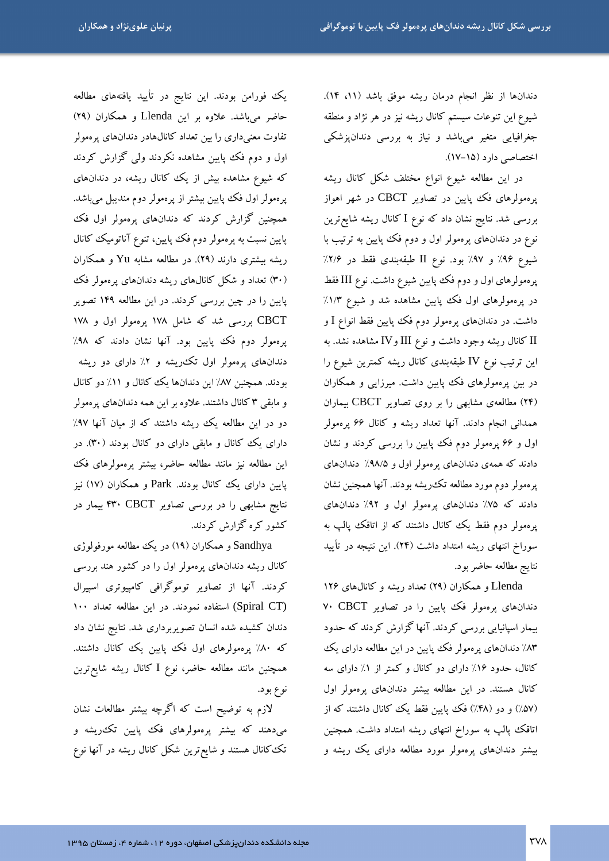دندانها از نظر انجام درمان ريشه موفق باشد (١١، ١۴). شیوع این تنوعات سیستم کانال ریشه نیز در هر نژاد و منطقه جغرافیایی متغیر میباشد و نیاز به بررسی دندانپزشکی اختصاصی دارد (۱۵-۱۷).

در این مطالعه شیوع انواع مختلف شکل کانال ریشه پرهمولرهای فک پایین در تصاویر CBCT در شهر اهواز بررسی شد. نتایج نشان داد که نوع I کانال ریشه شایع ترین نوع در دندانهای پرهمولر اول و دوم فک پپایین به ترتیب با شيوع ٩۶٪ و ٩٧٪ بود. نوع II طبقهبندی فقط در ٢/۶٪ پرهمولرهای اول و دوم فک پایین شیوع داشت. نوع III فقط در پرهمولرهای اول فک پایین مشاهده شد و شیوع ۱/۳٪ داشت. در دندانهای پرهمولر دوم فک پایین فقط انواع I و ا کانال ریشه وجود داشت و نوع III و IV مشاهده نشد. به TV این ترتیب نوع IV طبقهبندی کانال ریشه کمترین شیوع را در بین پرهمولرهای فک پایین داشت. میرزایی و همکاران (۲۴) مطالعهی مشابهی را بر روی تصاویر CBCT بیماران همدانی انجام دادند. آنها تعداد ریشه و کانال ۶۶ پرهمولر اول و ۶۶ پرهمولر دوم فک پایین را بررسی کردند و نشان دادند که همهی دندانهای پرهمولر اول و ۹۸/۵٪ دندانهای پرهمولر دوم مورد مطالعه تکءریشه بودند. آنها همچنین نشان دادند که ۷۵٪ دندانهای پرهمولر اول و ۹۲٪ دندانهای پرهمولر دوم فقط یک کانال داشتند که از اتاقک پالپ به سوراخ انتهای ریشه امتداد داشت (۲۴). این نتیجه در تأیید نتايج مطالعه حاضر بود.

Llenda و همکاران (۲۹) تعداد ریشه و کانالهای ۱۲۶ دندانهای پرهمولر فک پایین را در تصاویر V. CBCT بیمار اسپانیایی بررسی کردند. آنها گزارش کردند که حدود ۸۳٪ دندانهای پرهمولر فک پایین در این مطالعه دارای یک کانال، حدود ۱۶٪ دارای دو کانال و کمتر از ۱٪ دارای سه کانال هستند. در این مطالعه بیشتر دندانهای پرهمولر اول (۵۷٪) و دو (۴۸٪) فک پایین فقط یک کانال داشتند که از اتاقک پالپ به سوراخ انتهای ریشه امتداد داشت. همچنین بیشتر دندانهای پرهمولر مورد مطالعه دارای یک ریشه و

یک فورامن بودند. این نتایج در تأیید یافتههای مطالعه حاضر میباشد. علاوه بر این Llenda و همکاران (۲۹) تفاوت معنیداری را بین تعداد کانالهادر دندانهای پرهمولر اول و دوم فک پایین مشاهده نکردند ولی گزارش کردند که شیوع مشاهده بیش از یک کانال ریشه، در دندانهای پرهمولر اول فک پایین بیشتر از پرهمولر دوم مندیبل میباشد. همچنین گزارش کردند که دندانهای پرهمولر اول فک پایین نسبت به پرهمولر دوم فک پایین، تنوع آناتومیک کانال ریشه بیشتری دارند (۲۹). در مطالعه مشابه Yu و همکاران (۳۰) تعداد و شکل کانالهای ریشه دندانهای پرهمولر فک پایین را در چین بررسی کردند. در این مطالعه ۱۴۹ تصویر CBCT بررسی شد که شامل ۱۷۸ پرهمولر اول و ۱۷۸ پرهمولر دوم فک پایین بود. آنها نشان دادند که ۹۸٪ دندانهای پرهمولر اول تکدریشه و ۲٪ دارای دو ریشه بودند. همچنین ۸۷٪ این دندانها یک کانال و ۱۱٪ دو کانال و مابقی ۳ کانال داشتند. علاوه بر این همه دندانهای پرهمولر دو در این مطالعه یک ریشه داشتند که از میان آنها ۹۷٪ دارای یک کانال و مابقی دارای دو کانال بودند (۳۰). در این مطالعه نیز مانند مطالعه حاضر، بیشتر پرهمولرهای فک پایین دارای یک کانال بودند. Park و همکاران (۱۷) نیز نتایج مشابهی را در بررسی تصاویر ۴۳۰ CBCT بیمار در کشور کره گزارش کردند.

Sandhya و همکاران (۱۹) در یک مطالعه مورفولوژی کانال ریشه دندانهای پرهمولر اول را در کشور هند بررسی کردند. آنها از تصاویر توموگرافی کامپیوتری اسپیرال (Spiral CT) استفاده نمودند. در این مطالعه تعداد ۱۰۰ دندان کشیده شده انسان تصویربرداری شد. نتایج نشان داد که ۸۰٪ پرهمولرهای اول فک پایین یک کانال داشتند. همچنین مانند مطالعه حاضر، نوع I کانال ریشه شایعترین نوع بود.

لازم به توضیح است که اگرچه بیشتر مطالعات نشان میدهند که بیشتر پرهمولرهای فک پایین تکءریشه و تک کانال هستند و شایع ترین شکل کانال ریشه در آنها نوع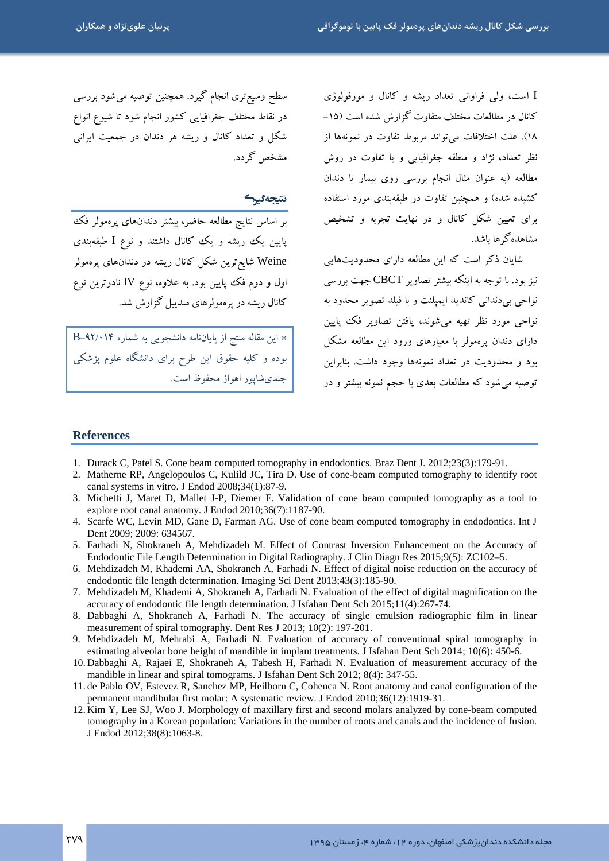I است، ولي فراواني تعداد ريشه و كانال و مورفولوژي کانال در مطالعات مختلف متفاوت گزارش شده است (۱۵-١٨). علت اختلافات مي تواند مربوط تفاوت در نمونهها از نظر تعداد، نژاد و منطقه جغرافیایی و یا تفاوت در روش مطالعه (به عنوان مثال انجام بررسی روی بیمار یا دندان کشیده شده) و همچنین تفاوت در طبقهبندی مورد استفاده برای تعیین شکل کانال و در نهایت تجربه و تشخیص مشاهده گ ها ىاشد.

شایان ذکر است که این مطالعه دارای محدودیتهایی نیز بود. با توجه به اینکه بیشتر تصاویر CBCT جهت بررسی .<br>نواحي بي دنداني كانديد ايميلنت و با فيلد تصوير محدود به نواحي مورد نظر تھيه مي شوند، يافتن تصاوير فڪ پايين دارای دندان پرهمولر با معیارهای ورود این مطالعه مشکل بود و محدودیت در تعداد نمونهها وجود داشت. بنابراین توصیه می شود که مطالعات بعدی با حجم نمونه بیشتر و در

سطح وسیع تری انجام گیرد. همچنین توصیه میشود بررسی در نقاط مختلف جغرافیایی کشور انجام شود تا شیوع انواع شکل و تعداد کانال و ریشه هر دندان در جمعیت ایرانی مشخص گردد.

#### نتيجەگيرگ

بر اساس نتایج مطالعه حاضر، بیشتر دندانهای پرهمولر فک یایین یک ریشه و یک کانال داشتند و نوع I طبقهبندی Weine شایع ترین شکل کانال ریشه در دندانهای پرهمولر اول و دوم فک پایین بود. به علاوه، نوع IV نادرترین نوع کانال ریشه در پرهمولرهای مندیبل گزارش شد.

\* این مقاله منتج از پایانiامه دانشجویی به شماره ۴/۰۱۴–B بوده و کلیه حقوق این طرح برای دانشگاه علوم پزشکی جندي شاپور اهواز محفوظ است.

#### **References**

- 1. Durack C, Patel S. Cone beam computed tomography in endodontics. Braz Dent J. 2012;23(3):179-91.
- 2. Matherne RP, Angelopoulos C, Kulild JC, Tira D. Use of cone-beam computed tomography to identify root canal systems in vitro. J Endod 2008;34(1):87-9.
- 3. Michetti J, Maret D, Mallet J-P, Diemer F. Validation of cone beam computed tomography as a tool to explore root canal anatomy. J Endod 2010;36(7):1187-90.
- 4. Scarfe WC, Levin MD, Gane D, Farman AG. Use of cone beam computed tomography in endodontics. Int J Dent 2009; 2009: 634567.
- 5. Farhadi N, Shokraneh A, Mehdizadeh M. Effect of Contrast Inversion Enhancement on the Accuracy of Endodontic File Length Determination in Digital Radiography. J Clin Diagn Res 2015;9(5): ZC102-5.
- 6. Mehdizadeh M, Khademi AA, Shokraneh A, Farhadi N. Effect of digital noise reduction on the accuracy of endodontic file length determination. Imaging Sci Dent 2013;43(3):185-90.
- 7. Mehdizadeh M, Khademi A, Shokraneh A, Farhadi N. Evaluation of the effect of digital magnification on the accuracy of endodontic file length determination. J Isfahan Dent Sch 2015;11(4):267-74.
- 8. Dabbaghi A, Shokraneh A, Farhadi N. The accuracy of single emulsion radiographic film in linear measurement of spiral tomography. Dent Res J 2013; 10(2): 197-201.
- 9. Mehdizadeh M, Mehrabi A, Farhadi N. Evaluation of accuracy of conventional spiral tomography in estimating alveolar bone height of mandible in implant treatments. J Isfahan Dent Sch 2014; 10(6): 450-6.
- 10. Dabbaghi A, Rajaei E, Shokraneh A, Tabesh H, Farhadi N. Evaluation of measurement accuracy of the mandible in linear and spiral tomograms. J Isfahan Dent Sch 2012; 8(4): 347-55.
- 11. de Pablo OV, Estevez R, Sanchez MP, Heilborn C, Cohenca N. Root anatomy and canal configuration of the permanent mandibular first molar: A systematic review. J Endod 2010;36(12):1919-31.
- 12. Kim Y, Lee SJ, Woo J. Morphology of maxillary first and second molars analyzed by cone-beam computed tomography in a Korean population: Variations in the number of roots and canals and the incidence of fusion. J Endod 2012;38(8):1063-8.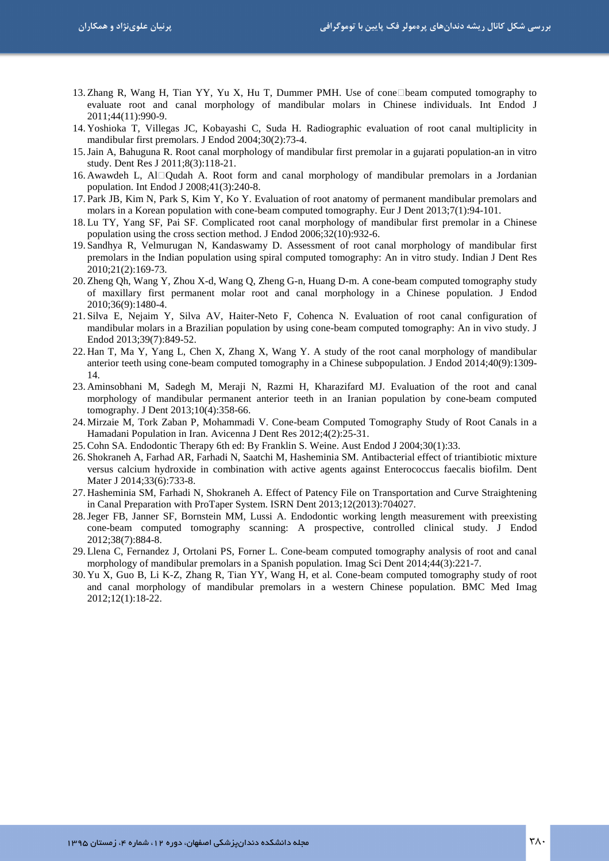- 13. Zhang R, Wang H, Tian YY, Yu X, Hu T, Dummer PMH. Use of conebeam computed tomography to evaluate root and canal morphology of mandibular molars in Chinese individuals. Int Endod J 2011;44(11):990-9.
- 14. Yoshioka T, Villegas JC, Kobayashi C, Suda H. Radiographic evaluation of root canal multiplicity in mandibular first premolars. J Endod 2004;30(2):73-4.
- 15.Jain A, Bahuguna R. Root canal morphology of mandibular first premolar in a gujarati population-an in vitro study. Dent Res J 2011;8(3):118-21.
- 16. Awawdeh L, Al Qudah A. Root form and canal morphology of mandibular premolars in a Jordanian population. Int Endod J 2008;41(3):240-8.
- 17. Park JB, Kim N, Park S, Kim Y, Ko Y. Evaluation of root anatomy of permanent mandibular premolars and molars in a Korean population with cone-beam computed tomography. Eur J Dent 2013;7(1):94-101.
- 18. Lu TY, Yang SF, Pai SF. Complicated root canal morphology of mandibular first premolar in a Chinese population using the cross section method. J Endod 2006;32(10):932-6.
- 19. Sandhya R, Velmurugan N, Kandaswamy D. Assessment of root canal morphology of mandibular first premolars in the Indian population using spiral computed tomography: An in vitro study. Indian J Dent Res 2010;21(2):169-73.
- 20. Zheng Qh, Wang Y, Zhou X-d, Wang Q, Zheng G-n, Huang D-m. A cone-beam computed tomography study of maxillary first permanent molar root and canal morphology in a Chinese population. J Endod 2010;36(9):1480-4.
- 21. Silva E, Nejaim Y, Silva AV, Haiter-Neto F, Cohenca N. Evaluation of root canal configuration of mandibular molars in a Brazilian population by using cone-beam computed tomography: An in vivo study. J Endod 2013;39(7):849-52.
- 22. Han T, Ma Y, Yang L, Chen X, Zhang X, Wang Y. A study of the root canal morphology of mandibular anterior teeth using cone-beam computed tomography in a Chinese subpopulation. J Endod 2014;40(9):1309- 14.
- 23. Aminsobhani M, Sadegh M, Meraji N, Razmi H, Kharazifard MJ. Evaluation of the root and canal morphology of mandibular permanent anterior teeth in an Iranian population by cone-beam computed tomography. J Dent 2013;10(4):358-66.
- 24. Mirzaie M, Tork Zaban P, Mohammadi V. Cone-beam Computed Tomography Study of Root Canals in a Hamadani Population in Iran. Avicenna J Dent Res 2012;4(2):25-31.
- 25.Cohn SA. Endodontic Therapy 6th ed: By Franklin S. Weine. Aust Endod J 2004;30(1):33.
- 26. Shokraneh A, Farhad AR, Farhadi N, Saatchi M, Hasheminia SM. Antibacterial effect of triantibiotic mixture versus calcium hydroxide in combination with active agents against Enterococcus faecalis biofilm. Dent Mater J 2014;33(6):733-8.
- 27. Hasheminia SM, Farhadi N, Shokraneh A. Effect of Patency File on Transportation and Curve Straightening in Canal Preparation with ProTaper System. ISRN Dent 2013;12(2013):704027.
- 28.Jeger FB, Janner SF, Bornstein MM, Lussi A. Endodontic working length measurement with preexisting cone-beam computed tomography scanning: A prospective, controlled clinical study. J Endod 2012;38(7):884-8.
- 29. Llena C, Fernandez J, Ortolani PS, Forner L. Cone-beam computed tomography analysis of root and canal morphology of mandibular premolars in a Spanish population. Imag Sci Dent 2014;44(3):221-7.
- 30. Yu X, Guo B, Li K-Z, Zhang R, Tian YY, Wang H, et al. Cone-beam computed tomography study of root and canal morphology of mandibular premolars in a western Chinese population. BMC Med Imag 2012;12(1):18-22.